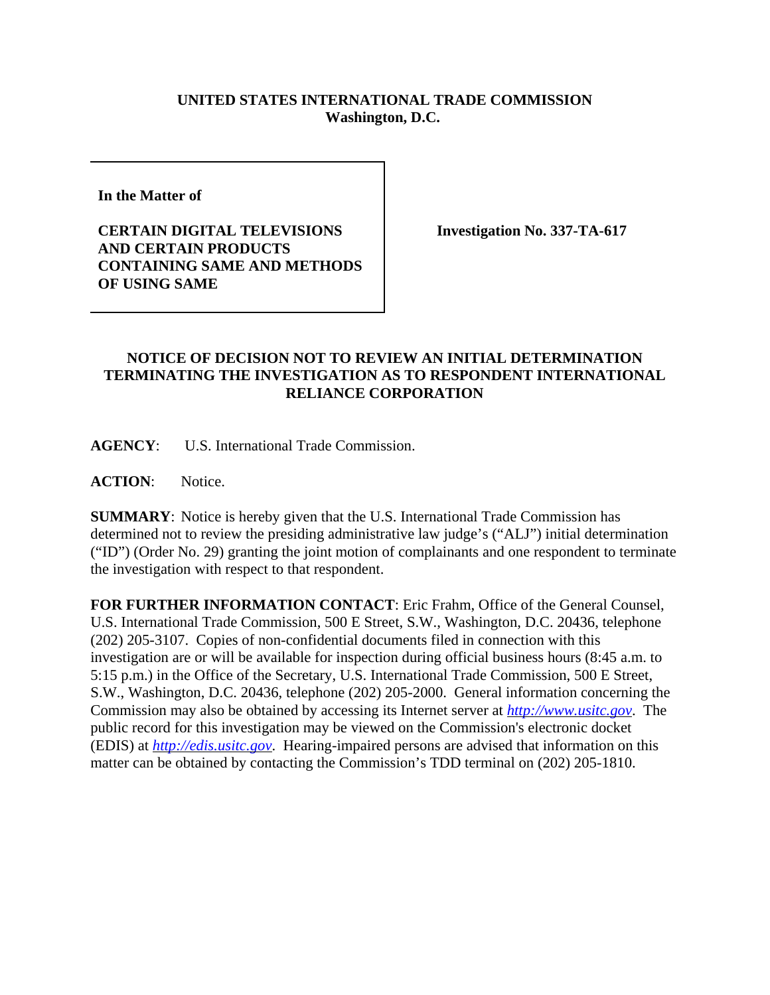## **UNITED STATES INTERNATIONAL TRADE COMMISSION Washington, D.C.**

**In the Matter of** 

**CERTAIN DIGITAL TELEVISIONS AND CERTAIN PRODUCTS CONTAINING SAME AND METHODS OF USING SAME**

**Investigation No. 337-TA-617**

## **NOTICE OF DECISION NOT TO REVIEW AN INITIAL DETERMINATION TERMINATING THE INVESTIGATION AS TO RESPONDENT INTERNATIONAL RELIANCE CORPORATION**

**AGENCY**: U.S. International Trade Commission.

**ACTION**: Notice.

**SUMMARY**: Notice is hereby given that the U.S. International Trade Commission has determined not to review the presiding administrative law judge's ("ALJ") initial determination ("ID") (Order No. 29) granting the joint motion of complainants and one respondent to terminate the investigation with respect to that respondent.

**FOR FURTHER INFORMATION CONTACT**: Eric Frahm, Office of the General Counsel, U.S. International Trade Commission, 500 E Street, S.W., Washington, D.C. 20436, telephone (202) 205-3107. Copies of non-confidential documents filed in connection with this investigation are or will be available for inspection during official business hours (8:45 a.m. to 5:15 p.m.) in the Office of the Secretary, U.S. International Trade Commission, 500 E Street, S.W., Washington, D.C. 20436, telephone (202) 205-2000. General information concerning the Commission may also be obtained by accessing its Internet server at *http://www.usitc.gov*. The public record for this investigation may be viewed on the Commission's electronic docket (EDIS) at *http://edis.usitc.gov*. Hearing-impaired persons are advised that information on this matter can be obtained by contacting the Commission's TDD terminal on (202) 205-1810.